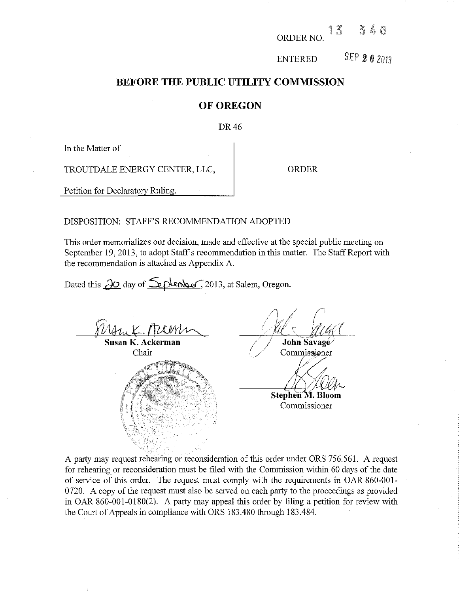ORDER NO f

ENTERED SEP *2* 0 <sup>2013</sup>

# **BEFORE THE PUBLIC UTILITY COMMISSION**

## **OF OREGON**

## DR 46

In the Matter of

TROUTDALE ENERGY CENTER, LLC,  $\qquad$  ORDER

Petition for Declaratory Ruling.

## DISPOSITION: STAFF'S RECOMMENDATION ADOPTED

This order memorializes our decision, made and effective at the special public meeting on September 19, 2013, to adopt Staff's recommendation in this matter. The Staff Report with the recommendation is attached as Appendix A.

Dated this *JO* day of <u>Septenber</u>, 2013, at Salem, Oregon.

**Susan K. Ackerman**  Chair

John Savage

Commissioner

Stephen M. Bloom

Commissioner

A party may request rehearing or reconsideration of this order under ORS 756.561. A request for rehearing or reconsideration must be filed with the Commission within 60 days of the date of service of this order. The request must comply with the requirements in OAR 860-001- 0720. A copy of the request must also be served on each party to the proceedings as provided in OAR 860-001-0180(2). A party may appeal this order by filing a petition for review with the Court of Appeals in compliance with ORS 183.480 through 183.484.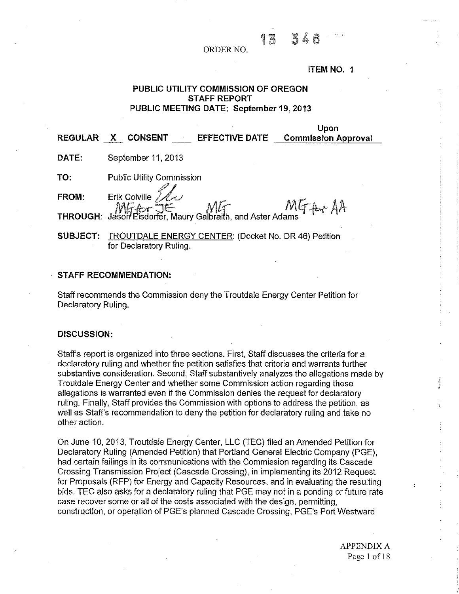13

#### **ITEM NO. 1**

**Upon** 

## **PUBLIC UTILITY COMMISSION OF OREGON STAFF REPORT PUBLIC MEETING DATE: September 19,2013**

| <b>REGULAR</b> | <b>EFFECTIVE DATE</b><br><b>CONSENT</b>                                                                                                                        | <b>PASS</b><br><b>Commission Approval</b> |
|----------------|----------------------------------------------------------------------------------------------------------------------------------------------------------------|-------------------------------------------|
| DATE:          | September 11, 2013                                                                                                                                             |                                           |
| TO:            | <b>Public Utility Commission</b>                                                                                                                               |                                           |
|                | FROM: Erik Colville $\frac{\mathcal{U}}{\mathcal{U}}$<br>MG-Core TE Maury Galbraith, and Aster Adams MG-Core Jason Eisdorfer, Maury Galbraith, and Aster Adams |                                           |
|                |                                                                                                                                                                |                                           |
| SUBJECT:       | <b>TROUTDALE ENERGY CENTER: (Docket No. DR 46) Petition</b><br>for Declaratory Ruling.                                                                         |                                           |

## **STAFF RECOMMENDATION:**

Staff recommends the Commission deny the Troutdale Energy Center Petition for Declaratory Ruling.

### **DISCUSSION:**

Staff's report is organized into three sections. First, Staff discusses the criteria for a declaratory ruling and whether the petition satisfies that criteria and warrants further substantive consideration. Second, Staff substantively analyzes the allegations made by Troutdale Energy Center and whether some Commission action regarding these allegations is warranted even if the Commission denies the request for declaratory ruling. Finally, Staff provides the Commission with options to address the petition, as well as Staff's recommendation to deny the petition for declaratory ruling and take no other action.

On June 10, 2013, Troutdale Energy Center, LLC (TEC) filed an Amended Petition for Declaratory Ruling (Amended Petition) that Portland General Electric Company (PGE), had certain failings in its communications with the Commission regarding its Cascade Crossing Transmission Project (Cascade Crossing), in implementing its 2012 Request for Proposals (RFP) for Energy and Capacity Resources, and in evaluating the resulting bids. TEC also asks for a declaratory ruling that PGE may not in a pending or future rate case recover some or all of the costs associated with the design, permitting, construction, or operation of PGE's planned Cascade Crossing, PGE's Port Westward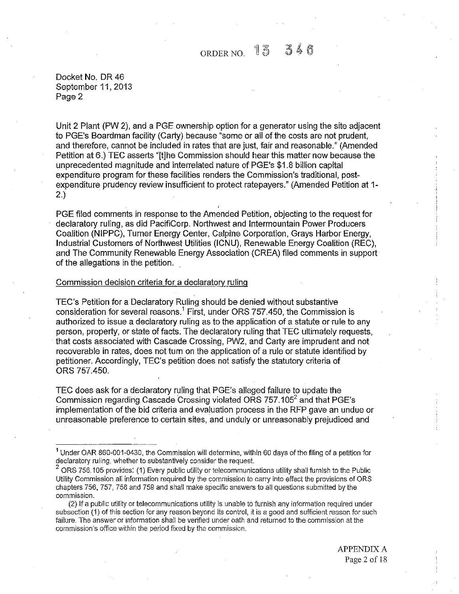Docket No. DR 46 September 11, 2013 Page 2

Unit 2 Plant (PW 2), and a PGE ownership option for a generator using the site adjacent to PGE's Boardman facility (Carty) because "some or all of the costs are not prudent, and therefore, cannot be included in rates that are just, fair and reasonable." (Amended Petition at 6.) TEC asserts "[t]he Commission should hear this matter now because the unprecedented magnitude and interrelated nature of PGE's \$1.8 billion capital expenditure program for these facilities renders the Commission's traditional, postexpenditure prudency review insufficient to protect ratepayers." (Amended Petition at 1- 2.)

PGE filed comments in response to the Amended Petition, objecting to the request for declaratory ruling, as did PacifiCorp. Northwest and Intermountain Power Producers Coalition (NIPPC), Turner Energy Center, Calpine Corporation, Grays Harbor Energy, Industrial Customers of Northwest Utilities (ICNU), Renewable Energy Coalition (REG), and The Community Renewable Energy Association (CREA) filed comments in support of the allegations in the petition.

## Commission decision criteria for a declaratory ruling

TEC's Petition for a Declaratory Ruling should be denied without substantive consideration for several reasons.<sup>1</sup> First, under ORS 757.450, the Commission is authorized to issue a declaratory ruling as to the application of a statute or rule to any person, property, or state of facts. The declaratory ruling that TEC ultimately requests, that costs associated with Cascade Crossing, PW2, and Carty are imprudent and not recoverable in rates, does not turn on the application of a rule or statute identified by petitioner. Accordingly, TEC's petition does not satisfy the statutory criteria of ORS 757.450.

TEC does ask for a declaratory ruling that PGE's alleged failure to update the Commission regarding Cascade Crossing violated ORS 757.105<sup>2</sup> and that PGE's implementation of the bid criteria and evaluation process in the RFP gave an undue or unreasonable preference to certain sites, and unduly or unreasonably prejudiced and

APPENDIX A Page 2 of 18

<sup>1</sup> Under OAR 860-001-0430, the Commission will determine, within 60 days of the filing of a petition for declaratory ruling, whether to substantively consider the request.

 $2$  ORS 756.105 provides: (1) Every public utility or telecommunications utility shall furnish to the Public Utility Commission all information required by the commission to carry into effect the provisions of ORS chapters 756, 757, 758 and 759 and shall make specific answers to all questions submitted by the commission.

<sup>(2)</sup> If a public utility or telecommunications utility is unable to furnish any information required under subsection (1) of this section for any reason beyond its control, it is a good and sufficient reason for such failure. The answer or information shall be verified under oath and returned to the commission at the commission's office within the period fixed by the commission.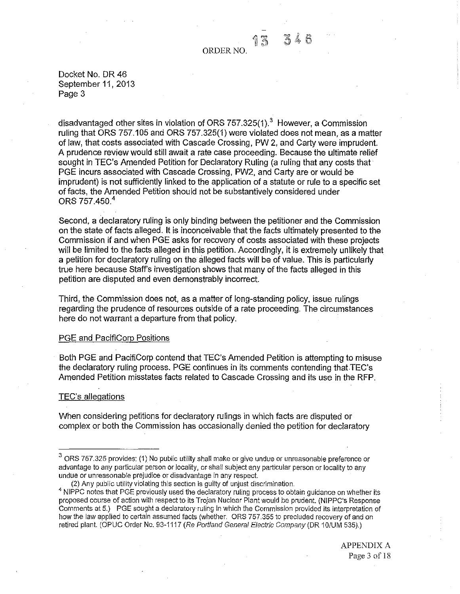Docket No. DR 46 September 11,2013 Page 3

disadvantaged other sites in violation of ORS  $757.325(1).<sup>3</sup>$  However, a Commission ruling that ORS 757.105 and ORS 757.325(1) were violated does not mean, as a matter of Jaw, that costs associated with Cascade Crossing, PW 2, and Carty were imprudent. A prudence review would still await a rate case proceeding. Because the ultimate relief sought in TEC's Amended Petition for Declaratory Ruling (a ruling that any costs that· PGE incurs associated with Cascade Crossing, PW2, and Carty are or would be imprudent) is not sufficiently linked to the application of a statute or rule to a specific set of facts, the Amended Petition should not be substantively considered under ORS 757,450.<sup>4</sup>

Second, a declaratory ruling is only binding between the petitioner and the Commission on the state of facts alleged. It is inconceivable that the facts ultimately presented to the Commission if and when PGE asks for recovery of costs associated with these projects will be limited to the facts alleged in this petition. Accordingly, it is extremely unlikely that a petition for declaratory ruling on the alleged facts will be of value. This is particularly true here because Staff's investigation shows that many of the facts alleged in this petition are disputed and even demonstrably incorrect.

Third, the Commission does not, as a matter of long-standing policy, issue rulings regarding the prudence of resources outside of a rate proceeding. The circumstances here do not warrant a departure from that policy.

#### PGE and PacifiCorp Positions

Both PGE and PacifiCorp contend that TEC's Amended Petition is attempting to misuse the declaratory ruling process. PGE continues in its comments contending that TEC's Amended Petition misstates facts related to Cascade Crossing and its use in the RFP.

#### TEC's allegations

When considering petitions for declaratory rulings in which facts are disputed or complex or both the Commission has occasionally denied the petition for declaratory

(2) Any public utility violating this section is guilty of unjust discrimination.

<sup>3</sup> ORS 757.325 provides: (1) No public utility shall make or give undue or unreasonable preference or advantage to any particular person or locality, or shall subject any particular person or locality to any undue or unreasonable prejudice or disadvantage in any respect

<sup>&</sup>lt;sup>4</sup> NIPPC notes that PGE previously used the declaratory ruling process to obtain guidance on whether its proposed course of action with respect to its Trojan Nuclear Plant would be prudent. (NIPPC's Response Comments at 5.) PGE sought a declaratory ruling in which the Commission provided its interpretation of how the law applied to certain assumed facts (whether. ORS 757.355 to precluded recovery of and on retired plant. (OPUC Order No. 93-1117 (Re Portland General Electric Company (DR 10/UM 535).)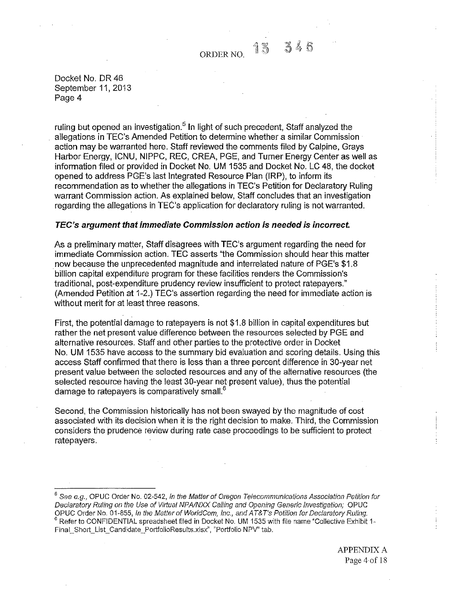Docket No. DR 46 September 11, 2013 Page 4

ruling but opened an investigation.<sup>5</sup> In light of such precedent, Staff analyzed the allegations in TEC's Amended Petition to determine whether a similar Commission action may be warranted here. Staff reviewed the comments filed by Calpine, Grays Harbor Energy, ICNU, NIPPC, REC, CREA, PGE, and Turner Energy Center as well as information filed or provided in Docket No. UM 1535 and Docket No. LC 48, the docket opened to address PGE's last Integrated Resource Plan (IRP), to inform its recommendation as to whether the allegations in TEC's Petition for Declaratory Ruling warrant Commission action. As explained below, Staff concludes that an investigation regarding the allegations in TEC's application for declaratory ruling is not warranted.

## **TEC's argument that immediate Commission action is needed is incorrect.**

As a preliminary matter, Staff disagrees with TEC's argument regarding the need for immediate Commission action. TEC asserts "the Commission should hear this matter now because the unprecedented magnitude and interrelated nature of PGE's \$1.8 ·billion capital expenditure program for these facilities renders the Commission's traditional, post-expenditure prudency review insufficient to protect ratepayers." (Amended Petition at 1-2.) TEC's assertion regarding the need for immediate action is without merit for at least three reasons.

First, the potential damage to ratepayers is not \$1.8 billion in capital expenditures but rather the net present value difference between the resources selected by PGE and alternative resources. Staff and other parties to the protective order in Docket No. UM 1535 have access to the summary bid evaluation and scoring details. Using this access Staff confirmed that there is less than a three percent difference in 30-year net present value between the selected resources and any of the alternative resources (the selected resource having the least 30-year net present value), thus the potential damage to ratepayers is comparatively small. $<sup>6</sup>$ </sup>

Second, the Commission historically has not been swayed by the magnitude of cost associated with its decision when it is the right decision to make. Third, the Commission considers the prudence review during rate case proceedings to be sufficient to protect ratepayers.

 $<sup>5</sup>$  See e.g., OPUC Order No. 02-542, in the Matter of Oregon Telecommunications Association Petition for</sup> Declaratory Ruling on the Use of Virtual NPA/NXX Calling and Opening Generic Investigation; OPUC<br>OPUC Order No. 01-855, In the Matter of WorldCom, Inc., and AT&T's Petition for Declaratory Ruling.  $<sup>6</sup>$  Refer to CONFIDENTIAL spreadsheet filed in Docket No. UM 1535 with file name "Collective Exhibit 1-</sup> Final\_Short\_List\_Candidate\_PortfolioResults.xlsx", "Portfolio NPV" tab.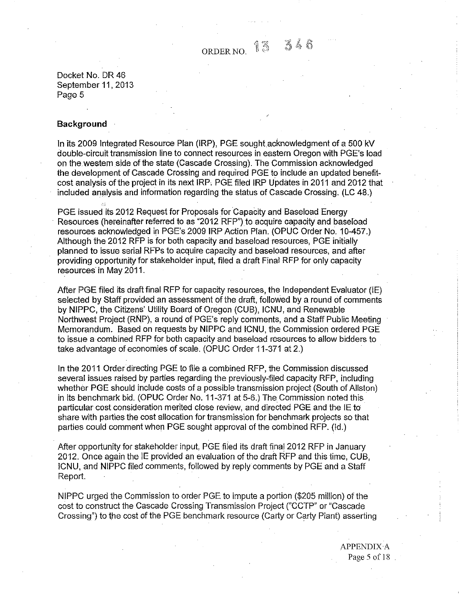$ORDERNO.$  13  $3$ 

Docket No. DR 46 September 11, 2013 Page 5

#### **Background**

In its 2009 Integrated Resource Plan (IRP), PGE sought acknowledgment of a 500 kV double-circuit transmission line to connect resources in eastern Oregon with PGE's load on the western side of the state (Cascade Crossing). The Commission acknowledged the development of Cascade Crossing and required PGE to include an updated benefitcost analysis of the project in its next IRP, PGE filed IRP Updates in 2011 and 2012 that included analysis and information regarding the status of Cascade Crossing. (LC 48.)

PGE issued its 2012 Request for Proposals for Capacity and Baseload Energy Resources (hereinafter referred to as "2012 RFP") to acquire capacity and baseload resources acknowledged in PGE's 20091RP Action Plan. (OPUC Order No. 10-457.) Although the 2012 RFP is for both capacity and baseload resources, PGE initially planned to issue serial RFPs to acquire capacity and baseload resources, and after providing opportunity for stakeholder input, filed a draft Final RFP for only capacity resources in May 2011.

After PGE filed its draft final RFP for capacity resources, the Independent Evaluator (IE) selected by Staff provided an assessment of the draft, followed by a round of comments by NIPPC, the Citizens' Utility Board of Oregon (CUB), ICNU, and Renewable Northwest Project (RNP), a round of PGE's reply comments, and a Staff Public Meeting Memorandum. Based on requests by NIPPC and ICNU, the Commission ordered PGE to issue a combined RFP for both capacity and baseload resources to allow bidders to take advantage of economies of scale. (OPUC Order 11-371 at 2.)

In the 2011 Order directing PGE to file a combined RFP, the Commission discussed several issues raised by parties regarding the previously-filed capacity RFP, including whether PGE should include costs of a possible transmission project (South of Allston) in its benchmark bid. (OPUC Order No. 11-371 at 5-6.) The Commission noted this particular cost consideration merited close review, and directed PGE and the IE to share with parties the cost allocation for transmission for benchmark projects so that parties could comment when PGE sought approval of the combined RFP. (ld.)

After opportunity for stakeholder ihput, PGE filed its draft final 2012 RFP in January 2012. Once again the IE provided an evaluation of the draft RFP and this time, CUB, ICNU, and NIPPC filed comments, followed by reply comments by PGE and a Staff Report.

NIPPC urged the Commission to order PGE to impute a portion (\$205 million) of the cost to construct the Cascade Crossing Transmission Project ("CCTP" or "Cascade Crossing") to the cost of the PGE benchmark resource (Carty or Carty Plant) asserting

> APPENDIX A Page 5 of 18.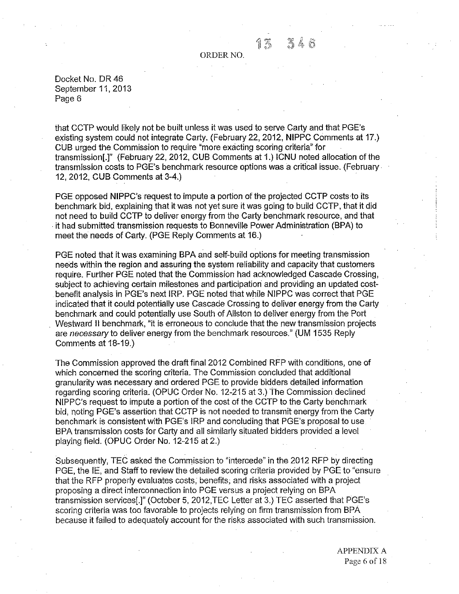#### ORDER NO.

Docket No. DR 46 September 11, 2013 Page 6

that CCTP would likely not be built unless it was used to serve Carty and that PGE's existing system could not integrate Carty. (February 22, 2012, NIPPC Comments at 17.) CUB urged the Commission to require "more exacting scoring criteria" for transmission[.]" (February22, 2012, CUB Comments at 1.) ICNU noted allocation of the transmission costs to PGE's benchmark resource options was a critical issue. (February 12, 2012, CUB Comments at 3-4.)

PGE opposed NIPPC's request to impute a portion of the projected CCTP costs to its benchmark bid, explaining that it was not yet sure it was going to build CCTP, that it did not need to build CCTP to deliver energy from the Carty benchmark resource, and that . it had submitted transmission requests to Bonneville Power Administration (BPA) to meet the needs of Carty. (PGE Reply Comments at 16.)

PGE noted that it was examining BPA and self-build options for meeting transmission needs within the region and assuring the system reliability and capacity that customers require. Further PGE noted that the Commission had acknowledged Cascade Crossing, subject to achieving certain milestones and participation and providing an updated costbenefit analysis in PGE's next IRP. PGE noted that while NIPPC was correct that PGE indicated that it could potentially use Cascade Crossing to deliver energy from the Carty benchmark and could potentially use South of Allston to deliver energy from the Port Westward II benchmark, "it is erroneous to conclude that the new transmission projects are necessary to deliver energy from the benchmark resources." (UM 1535 Reply Comments at 18-19.)

The Commission approved the draft final 2012 Combined RFP with conditions, one of which concerned the scoring criteria. The Commission concluded that additional granularity was necessary and ordered PGE to provide bidders detailed information regarding scoring criteria. (OPUC Order No. 12-215 at 3.) The Commission declined NIPPC's request to impute a portion of the cost of the CCTP to the Carty benchmark bid, noting PGE's assertion that CCTP is not needed to transmit energy from the Carty benchmark is consistent with PGE's IRP and concluding that PGE's proposal to use BPA transmission costs for Carty and all similarly situated bidders provided a level playing field. (OPUC Order No. 12-215 at 2.)

Subsequently, TEC asked the Commission to "intercede" in the 2012 RFP by directing PGE, the IE, and Staff to review the detailed scoring criteria provided by PGE to "ensure that the RFP properly evaluates costs, benefits, and risks associated with a project proposing a direct interconnection into PGE versus a project relying on BPA transmission services[.]" (October 5, 2012,TEC Letter at 3.) TEC asserted that PGE's scoring criteria was too favorable to projects relying on firm transmission from BPA because it failed to adequately account for the risks associated with such transmission.

> APPENDIX A Page 6 of 18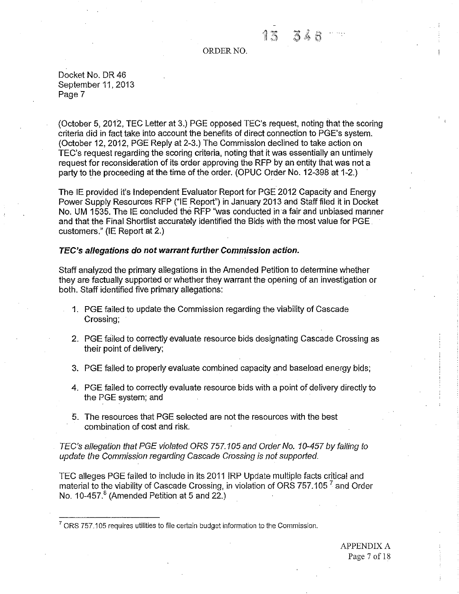#### ORDER NO.

Docket No. DR 46 September 11,2013 Page 7

(October 5, 2012, TEC Letter at 3.) PGE opposed TEC's request, noting that the scoring criteria did in fact take into account the benefits of direct connection to PGE's system. (October 12, 2012, PGE Reply at 2-3.) The Commission declined to take action on TEC's request regarding the scoring criteria, noting that it was essentially an untimely request for reconsideration of its order approving the RFP by an entity that was not a party to the proceeding at the time of the order. (OPUC Order No. 12-398 at 1-2.)

The IE provided it's Independent Evaluator Report for PGE 2012 Capacity and Energy Power Supply Resources RFP ("IE Report") in January 2013 and Staff filed it in Docket No. UM 1535. The IE concluded the RFP ''was conducted in'a fair and unbiased manner and that the Final Shortlist accurately identified the Bids with the most value for PGE. customers." (IE Report at 2.)

## **TEC's allegations do not warrant further Commission action.**

Staff analyzed the primary allegations in the Amended Petition to determine whether they are factually supported or whether they warrant the opening of an investigation or both. Staff identified five primary allegations:

- 1. PGE failed to update the Commission regarding the viability of Cascade Crossing;
- 2. PGE failed to correctly evaluate resource bids designating Cascade Crossing as their point of delivery;
- 3. PGE failed to properly evaluate combined capacity and baseload energy bids;
- 4. PGE failed to correctly evaluate resource bids with a point of delivery directly to the PGE system; and
- 5. The resources that PGE selected are not the resources with the best combination of cost and risk.

TEC's allegation that PGE violated ORS 757.105 and Order No. 10-457 by failing to update the Commission regarding Cascade Crossing is not supported.

TEC alleges PGE failed to include in its 2011 lRP Update multiple facts critical and material to the viability of Cascade Crossing, in violation of ORS  $757.105<sup>7</sup>$  and Order No. 10-457 $<sup>8</sup>$  (Amended Petition at 5 and 22.)</sup>

 $<sup>7</sup>$  ORS 757.105 requires utilities to file certain budget information to the Commission.</sup>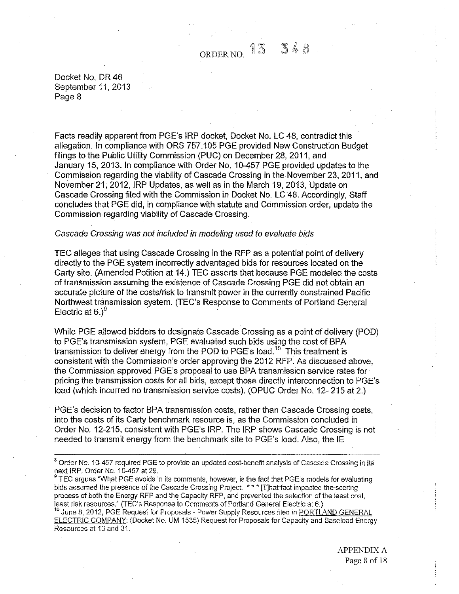348

Docket No. DR 46 September 11, 2013 Page 8

Facts readily apparent from PGE's IRP docket, Docket No. LC 48, contradict this allegation. In compliance with ORS 757.105 PGE provided New Construction Budget filings to the Public Utility Commission (PUC) on December 28, 2011, and January 15, 2013. In compliance with Order No. 10-457 PGE provided updates to the Commission regarding the viability of Cascade Crossing in the November 23, 2011, and November 21, 2012, IRP Updates, as well as in the March 19, 2013, Update on Cascade Crossing filed with the Commission in Docket No. LC 48. Accordingly, Staff concludes that PGE did, in compliance with statute and Commission order, update the Commission regarding viability of Cascade Crossing.

#### Cascade Crossing was not included in modeling used to evaluate bids

TEC alleges that using Cascade Crossing in the RFP as a potential point of delivery directly to the PGE system incorrectly advantaged bids for resources located on the Carty site. (Amended Petition at 14.) TEC asserts that because PGE modeled the costs of transmission assuming the existence of Cascade Crossing PGE did not obtain an accurate picture of the costs/risk to transmit power in the currently constrained Pacific Northwest transmission system. (TEC's Response to Comments of Portland General<br>Electric at 6.)<sup>9</sup>

While PGE allowed bidders to designate Cascade Crossing as a point of delivery (POD) to PGE's transmission system, PGE evaluated such bids using the cost of BPA transmission to deliver energy from the POD to PGE's load.<sup>10</sup> This treatment is consistent with the Commission's order approving the 2012 RFP. As discussed above, the Commission approved PGE's proposal to use BPA transmission service rates for· pricing the transmission costs for all bids, except those directly interconnection to PGE's load (which incurred no transmission service costs). (OPUC Order No. 12-215 at 2.)

PGE's decision to factor BPA transmission costs, rather than Cascade Crossing costs, into the costs of its Carty benchmark resource is, as the Commission concluded in Order No. 12-215, consistent with PGE's IRP. The IRP shows Cascade Crossing is not needed to transmit energy from the benchmark site to PGE's load. Also, the IE

<sup>9</sup> TEC argues "What PGE avoids in its comments, however, is the fact that PGE's models for evaluating bids assumed the presence of the Cascade Crossing Project. \* \* \* [T]hal'fact impacted the scoring process of both the Energy RFP and the Capacity RFP, and prevented the selection of the least cost, least risk resources." (TEC's Response to Comments of Portland General Electric at 6.)

June 8, 2012, PGE Request for Proposals - Power Supply Resources filed in PORTLAND GENERAL ELECTRIC COMPANY: (Docket No. UM 1535) Request for Proposals for Capacity and Baseload Energy Resources at 16 and 31.

> APPENDIX A Page 8 of 18

<sup>&</sup>lt;sup>8</sup> Order No. 10-457 required PGE to provide an updated cost-benefit analysis of Cascade Crossing in its next IRP. Order No. 10-457 at 29.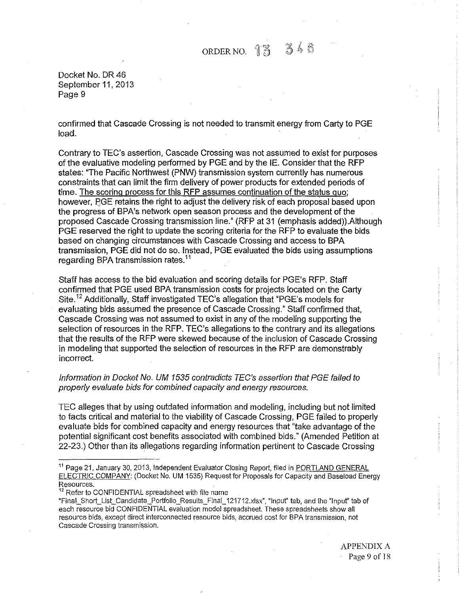Docket No. DR 46 September 11, 2013 Page 9

confirmed that Cascade Crossing is not needed to transmit energy from Carty to PGE load.

Contrary to TEC's assertion, Cascade Crossing was not assumed to exist for purposes of the evaluative modeling performed by PGE and by the IE. Consider that the RFP states: "The Pacific Northwest (PNW) transmission system currently has numerous constraints that can limit the firm delivery of power products for extended periods of time. The scoring process for this RFP assumes continuation of the status quo; however, EGE retains the right to adjust the delivery risk of each proposal based upon the progress of BPA's network open season process and the development of the proposed Cascade Crossing transmission line." (RFP at 31 (emphasis added)).Aithough PGE reserved the right to update the scoring criteria for the RFP to evaluate the bids based on changing circumstances with Cascade Crossing and access to BPA transmission, PGE did not do so. Instead, PGE evaluated the bids using assumptions regarding BPA transmission rates.<sup>11</sup>

Staff has access to the bid evaluation and scoring details for PGE's RFP. Staff confirmed that PGE used SPA transmission costs for projects located on the Carty Site.12 Additionally, Staff investigated TEC's allegation that "PGE's models for evaluating bids assumed the presence of Cascade Crossing." Staff confirmed that, Cascade Crossing was not assumed to exist in any of the modeling supporting the selection of resources in the RFP. TEC's allegations to the contrary and its allegations that the results of the RFP were skewed because of the inclusion of Cascade Crossing in modeling that supported the selection of resources in the RFP are demonstrably incorrect.

## Information in Docket No. UM 1535 contradicts TEC's assertion that PGE failed to properly evaluate bids for combined capacity and energy resources.

TEC alleges that by using outdated information and modeling, including but not limited to facts critical and material to the viability of Cascade Crossing, PGE failed to properly evaluate bids for combined capacity and energy resources that "take advantage of the potential significant cost benefits associated with combined bids." (Amended Petition at 22-23.) Other than its allegations regarding information pertinent to Cascade Crossing

<sup>&</sup>lt;sup>11</sup> Page 21, January 30, 2013, Independent Evaluator Closing Report, filed in PORTLAND GENERAL ELECTRIC COMPANY: (Docket No. UM 1535) Request for Proposals for Capacity and Baseload Energy **Resources.** 

<sup>&</sup>lt;sup>12</sup> Refer to CONFIDENTIAL spreadsheet with file name

<sup>&</sup>quot;Finai\_Short\_List\_Candidate\_Portfolio\_Results\_Final\_121712.xlsx", "Input" tab, and the "lnpuf' tab of each resource bid CONFIDENTIAL evaluation model spreadsheet. These spreadsheets show all resource bids, except direct interconnected resource bids, accrued cost for BPA transmission, not Cascade Crossing transmission.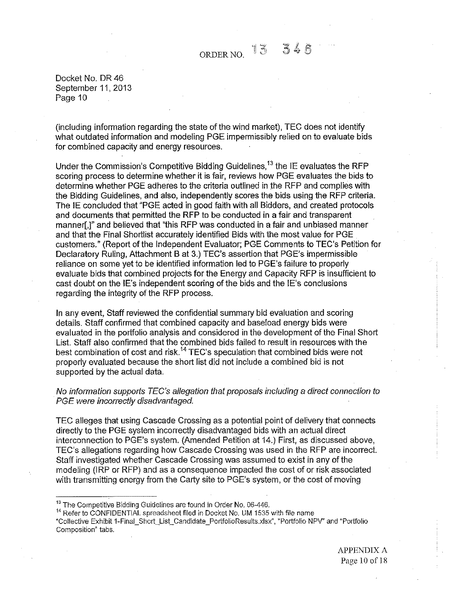Docket No. DR 46 September 11, 2013 Page 10

(including information regarding the state of the wind market), TEC does not identify what outdated information and modeling PGE impermissibly relied on to evaluate bids for combined capacity and energy resources.

Under the Commission's Competitive Bidding Guidelines.<sup>13</sup> the IE evaluates the RFP scoring process to determine whether it is fair, reviews how PGE evaluates the bids to determine whether PGE adheres to the criteria outlined in the RFP and complies with the Bidding Guidelines, and also, independently scores the bids using the RFP criteria. The IE concluded that "PGE acted in good faith with all Bidders, and created protocols and documents that permitted the RFP to be conducted in a fair and transparent manner[,]" and believed that "this RFP was conducted in a fair and unbiased manner and that the Final Shortlist accurately identified Bids with the most value for PGE customers." (Report of the Independent Evaluator; PGE Comments to TEC's Petition for Declaratory Ruling, Attachment B at 3.) TEC's assertion that PGE's impermissible reliance on some yet to be identified information led to PGE's failure to properly evaluate bids that combined projects for the Energy and Capacity RFP is insufficient to cast doubt on the IE's independent scoring of the bids and the IE's conclusions regarding the integrity of the RFP process.

In any event, Staff reviewed the confidential summary bid evaluation and scoring details. Staff confirmed that combined capacity and baseload energy bids were evaluated in the portfolio analysis and considered in the development of the Final Short List. Staff also confirmed that the combined bids failed to result in resources with the best combination of cost and risk.<sup>14</sup> TEC's speculation that combined bids were not properly evaluated because the short list did not include a combined bid is not supported by the actual data.

## No information supports TEC's allegation that proposals including a direct connection to PGE were incorrectly disadvantaged.

TEC alleges that using Cascade Crossing as a potential point of delivery that connects directly to the PGE system incorrectly disadvantaged bids with an actual direct interconnection to PGE's system. (Amended Petition at 14.) First, as discussed above, TEC's allegations regarding how Cascade Crossing was used in the RFP are incorrect. Staff investigated whether Cascade Crossing was assumed to exist in any of the modeling (!RP or RFP) and as a consequence impacted the cost of or risk associated with transmitting energy from the Carty site to PGE's system, or the cost of moving

<sup>14</sup> Refer to CONFIDENTIAL spreadsheet filed in Docket No. UM 1535 with file name

<sup>&</sup>lt;sup>13</sup> The Competitive Bidding Guidelines are found in Order No. 06-446.

<sup>&</sup>quot;Collective Exhibit 1-Finai\_Short\_List\_Candidate\_PortfolioResults.xlsx", "Portfolio NPV" and "Portfolio Composition" tabs.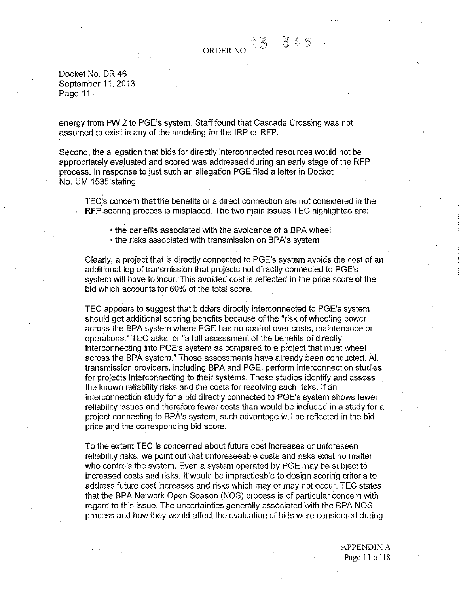#### ell '.!( ORDER NO.  $\sqrt{2}$

Docket No. DR 46 September 11, 2013 Page 11

energy from PW 2 to PGE's system. Staff found that Cascade Crossing was not assumed to exist in any of the modeling for the IRP or RFP.

Second, the allegation that bids for directly interconnected resources would not be appropriately evaluated and scored was addressed during an early stage of the RFP process. **In** response to just such an allegation PGE filed a letter in Docket No. UM 1535 stating,

TEC~s concern that the benefits of a direct connection are not considered in the **RFP** scoring process is misplaced. The two main issues TEC highlighted are:

• the benefits associated with the avoidance of a SPA wheel

• the risks associated with transmission on SPA's system

Clearly, a project that is directly connected to PGE's system avoids the cost of an additional leg of transmission that projects not directly connected to PGE's system will have to incur. This avoided cost is reflected in the price score of the bid which accounts for 60% of the total score.

TEC appears to suggest that bidders directly interconnected to PGE's system should get additional scoring benefits because of the "risk of wheeling power across the SPA system where PGE has no control over costs, maintenance or operations." TEC asks for "a full assessment of the benefits of directly interconnecting into PGE's system as compared to a project that must wheel across the SPA system." These assessments have already been conducted. All transmission providers, including BPA and PGE, perform interconnection studies for projects interconnecting to their systems. These studies identify and assess the known reliability risks and the costs for resolving such risks. If an interconnection study for a bid directly connected to PGE's system shows fewer reliability issues and therefore fewer costs than would be included in a study for a project connecting to SPA's system, such advantage will be reflected in the bid price and the corresponding bid score.

To the extent TEC is concerned about future cost increases or unforeseen reliability risks, we point out that unforeseeable costs and risks exist no matter who controls the system. Even a system operated by PGE may be subject to increased costs and risks. It would be impracticable to design scoring criteria to address future cost increases and risks which may or may not occur. TEC states that the SPA Network Open Season (NOS) process is of particular concern with regard to this issue. The uncertainties generally associated with the SPA NOS process and how they would affect the evaluation of bids were considered during

> APPENDIX A Page 11 of18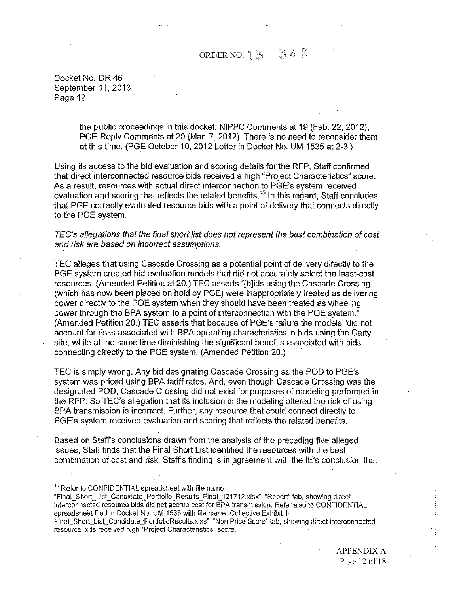# ORDER NO.  $1\frac{8}{3}$   $3\frac{4}{5}$

Docket No. DR 46 September 11, 2013 Page 12

> the public proceedings in this docket. NIPPC Comments at 19 (Feb. 22, 2012); PGE Reply Comments at 20 (Mar. 7, 2012). There is no need to reconsider them at this time. (PGE October 10, 2012 Letter in Docket No. UM 1535 at 2-3.)

Using its access to the bid evaluation and scoring details for the RFP, Staff confirmed that direct interconnected resource bids received a high "Project Characteristics" score. As a result, resources with actual direct interconnection to PGE's system received evaluation and scoring that reflects the related benefits.<sup>15</sup> In this regard, Staff concludes that PGE correctly evaluated resource bids with a point of delivery that connects directly to the PGE system.

TEC's allegations that the final short list does not represent the best combination of cost and risk are based on incorrect assumptions.

TEC alleges that using Cascade Crossing as a potential point of delivery directly to the PGE system created bid evaluation models that did not accurately select the least-cost resources. (Amended Petition at 20.) TEC asserts "[b]ids using the Cascade Crossing (which has now been placed on hold by PGE) were inappropriately treated as delivering power directly to the PGE system when they should have been treated as wheeling power through the BPA system to a point of interconnection with the PGE system." (Amended Petition 20.) TEC asserts that because of PGE's failure the models "did not account for risks associated with BPA operating characteristics in bids using the Carty site, while at the same time diminishing the significant benefits associated with bids connecting directly to the PGE system. (Amended Petition 20.)

TEC is simply wrong. Any bid designating Cascade Crossing as the POD to PGE's system was priced using BPA tariff rates. And, even though Cascade Crossing was the designated POD, Cascade Crossing did not exist for purposes of modeling performed in the RFP. So TEC's allegation that its inclusion iri the modeling altered the risk of using BPA transmission is incorrect. Further, any resource that could connect directly to PGE's system received evaluation and scoring that reflects the related benefits.

Based on Staffs conclusions drawn from the analysis of the preceding five alleged issues, Staff finds that the Final Short List identified the resources with the best combination of cost and risk. Staffs finding is in agreement with the IE's conclusion that

<sup>15</sup> Refer to CONFIDENTIAL spreadsheet with file name

"Final\_Short\_List\_Candidate\_Portfolio\_Results\_Final\_121712.xlsx", "Report" tab, showing direct interconnected resource bids did not accrue cost for BPA transmission. Refer also to CONFIDENTIAL spreadsheet filed in Docket No. UM 1535 with file name "Collective Exhibit 1-

Final\_Short\_List\_Candidate\_PortfolioResults.xlxs", "Non Price Score" tab, showing direct interconnected resource bids received high "Project Characteristics" score.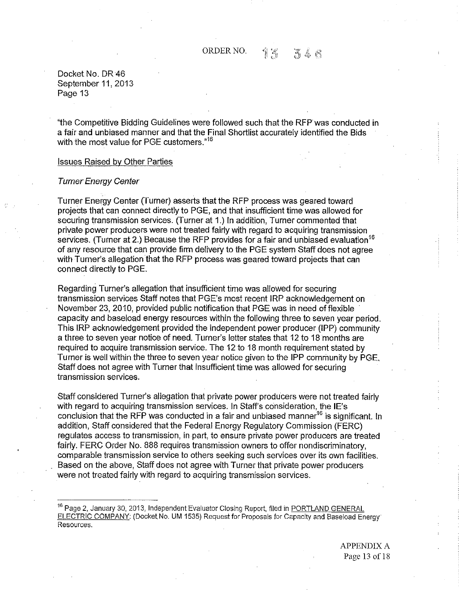Docket No. DR 46 September 11, 2013 Page 13

"the Competitive Bidding Guidelines were followed such that the RFP was conducted in a fair and unbiased manner and that the Final Shortlist accurately identified the Bids with the most value for PGE customers."<sup>16</sup>

## Issues Raised by Other Parties

#### Turner Energy Center

Turner Energy Center (Turner) asserts that the RFP process was geared toward projects that can connect directly to PGE, and that insufficient time was allowed for securing transmission services. (Turner at 1.) In addition, Turner commented that private power producers were not treated fairly with regard to acquiring transmission services. (Turner at 2.) Because the RFP provides for a fair and unbiased evaluation<sup>16</sup> of any resource that can provide firm delivery to the PGE system Staff does not agree with Turner's allegation that the RFP process was geared toward projects that can connect directly to PGE.

Regarding Turner's allegation that insufficient time was allowed for securing transmission services Staff notes that PGE's most recent IRP acknowledgement on November 23, 2010, provided public notification that PGE was in need offlexible · capacity and baseload energy resources within the following three to seven year period. This IRP acknowledgement provided the independent power producer (IPP) community a three to seven year notice of need. Turner's letter states that 12 to 18 months are required to acquire transmission service. The 12 to 18 month requirement stated by Turner is well within the three to seven year notice given to the IPP community by PGE. Staff does not agree with Turner that insufficient time was allowed for securing transmission services.

Staff considered Turner's allegation that private power producers were not treated fairly with regard to acquiring transmission services. In Staff's consideration, the IE's conclusion that the RFP was conducted in a fair and unbiased manner<sup>16</sup> is significant. In addition, Staff considered that the Federal Energy Regulatory Commission (FERC) regulates access to transmission, in part, to ensure private power producers are treated fairly. FERC Order No. 888 requires transmission owners to offer nondiscriminatory, comparable transmission service to others seeking such services over its own facilities. Based on the above, Staff does not agree with Turner that private power producers were not treated fairly with regard to acquiring transmission services.

<sup>16</sup> Page 2, January 30, 2013, Independent Evaluator Closing Report, filed in PORTLAND GENERAL ELECTRIC COMPANY: (Docket No. UM 1535) Request for Proposals for Capacity and Baseload Energy Resources.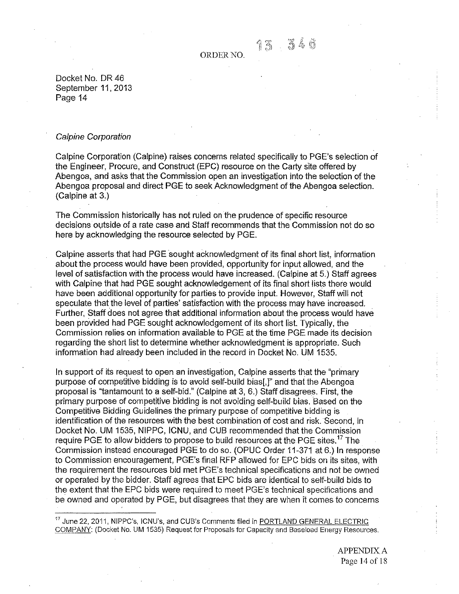13546

Docket No. DR 46 September 11, 2013 Page 14

#### Calpine Corporation

Calpine Corporation (Calpine) raises concerns related specifically to PGE's selection of the Engineer, Procure, and Construct (EPC) resource on the Carty site offered by Abengoa, and asks that the Commission open an investigation into the selection of the Abengoa proposal and direct PGE to seek Acknowledgment of the Abengoa selection. (Calpine at 3.)

The Commission historically has not ruled on the prudence of specific resource decisions outside of a rate case and Staff recommends that the Commission not do so here by acknowledging the resource selected by PGE.

Calpine asserts that had PGE sought acknowledgment of its final short list, information about the process would have been provided, opportunity for input allowed, and the level of satisfaction with the process would have increased. (Calpine at 5.) Staff agrees with Calpine that had PGE sought acknowledgement of its final short lists there would have been additional opportunity for parties to provide input. However, Staff will not speculate that the level of parties' satisfaction with the process may have increased. Further, Staff does not agree that additional information about the process would have been provided had PGE sought acknowledgement of its short list. Typically, the Commission relies on information available to PGE at the time PGE made its decision regarding the short list to determine whether acknowledgment is appropriate. Such information had already been included in the record in Docket No. UM 1535.

In support of its request to open an investigation, Calpine asserts that the "primary purpose of competitive bidding is to avoid self-build bias[,]" and that the Abengoa proposal is "tantamount to a self-bid." (Calpine at 3, 6.) Staff disagrees. First, the primary purpose of competitive bidding is not avoiding self-build bias. Based on the Competitive Bidding Guidelines the primary purpose of competitive bidding is identification of the resources with the best combination of cost and risk. Second, in Docket No. UM 1535, NIPPC, ICNU, and CUB recommended that the Commission require PGE to allow bidders to propose to build resources at the PGE sites.<sup>17</sup> The Commission instead encouraged PGE to do so. (OPUC Order 11-371 at 6.) In response to Commission encouragement, PGE's final RFP allowed for EPC bids on its sites, with the requirement the resources bid met PGE's technical specifications and not be owned or operated by the bidder. Staff agrees that EPC bids are identical to self-build bids to the extent that the EPC bids were required to meet PGE's technical specifications and be owned and operated by PGE, but disagrees that they are when it comes to concerns

<sup>17</sup> June 22, 2011, NIPPC's, ICNU's, and CUB's Comments filed in PORTLAND GENERAL ELECTRIC COMPANY: (Docket No. UM 1535) Request for Proposals for Capacity and Baseload Energy Resources.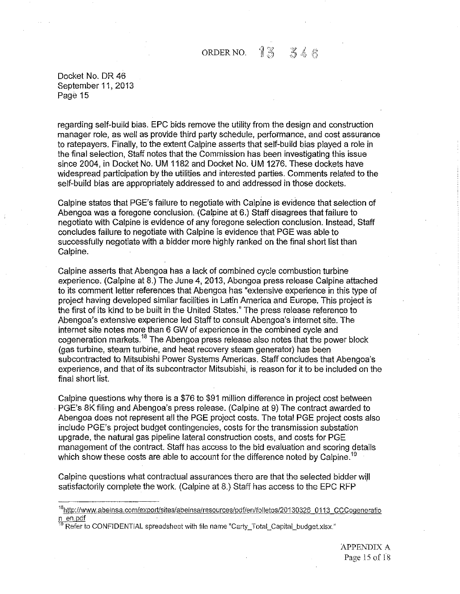Docket No. DR 46 September 11, 2013 Page 15

regarding self-build bias. EPC bids remove the utility from the design and construction manager role, as well as provide third party schedule, performance, and cost assurance to ratepayers. Finally, to the extent Calpine asserts that self-build bias played a role in the final selection, Staff notes that the Commission has been investigating this issue since 2004, in Docket No. UM 1182 and Docket No. UM 1276. These dockets have widespread participation by the utilities and interested parties. Comments related to the self-build bias are appropriately addressed to and addressed in those dockets.

Calpine states that PGE's failure to negotiate with Calpine is evidence that selection of Abengoa was a foregone conclusion. (Calpine at 6.) Staff disagrees that failure to negotiate with Calpine is evidence of any foregone selection conclusion. Instead, Staff concludes failure to negotiate with Calpine is evidence that PGE was able to successfully negotiate with a bidder more highly ranked on the final short list than Calpine.

Calpine asserts that Abengoa has a lack of combined cycle combustion turbine experience. (Calpine at 8.) The June 4, 2013, Abengoa press release Calpine attached to its comment fetter references that Abengoa has "extensive experience in this type of project having developed similar facilities in Latin America and Europe. This project is the first of its kind to be built in the United States." The press release reference to Abengoa's extensive experience led Staff to consult Abengoa's internet site. The internet site notes more than 6 GW of experience in the combined cycle and cogeneration markets.18 The Abengoa press release also notes that the power block (gas turbine, steam turbine, and heat recovery steam generator) has been subcontracted to Mitsubishi Power Systems Americas. Staff concludes that Abengoa's experience, and that of its subcontractor Mitsubishi, is reason for it to be included on the final short list.

Calpine questions why there is a \$76 to \$91 million difference in project cost between . PGE's 8K filing and Abengoa's press release. (Calpine at 9) The contract awarded to Abengoa does not represent all the PGE project costs. The total PGE project costs also include PGE's project budget contingencies, costs for the transmission substation upgrade, the natural gas pipeline lateral construction costs, and costs for PGE management of the contract. Staff has access to the bid evaluation and scoring details which show these costs are able to account for the difference noted by Calpine.<sup>19</sup>

Calpine questions what contractual assurances there are that the selected bidder will satisfactorily complete the work. (Calpine at 8.) Staff has access to the EPC RFP

<sup>&</sup>lt;sup>18</sup>http://www.abeinsa.com/export/sites/abeinsa/resources/pdf/en/folletos/20130326 0113 CCCogeneratio n en.pdf

Refer to CONFIDENTIAL spreadsheet with file name "Carty\_Total\_Capital\_budget.xlsx."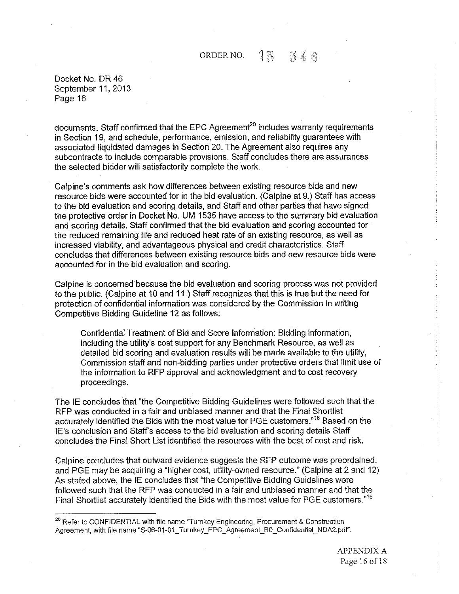Docket No. DR 46 September 11,2013 Page 16

documents. Staff confirmed that the EPC Agreement<sup>20</sup> includes warranty requirements in Section 19, and schedule, performance, emission, and reliability guarantees with associated liquidated damages in Section 20. The Agreement also requires any subcontracts to include comparable provisions. Staff concludes there are assurances the selected bidder will satisfactorily complete the work.

Calpine's comments ask how differences between existing resource bids and new resource bids were accounted for in the bid evaluation. (Calpine at 9.) Staff has access to the bid evaluation and scoring details, and Staff and other parties that have signed the protective order in Docket No. UM 1535 have access to the summary bid evaluation and scoring details. Staff confinned that the bid evaluation and scoring accounted for the reduced remaining life and reduced heat rate of an existing resource, as well as increased viability, and advantageous physical and credit characteristics. Staff concludes that differences between existing resource bids and new resource bids were accounted for in the bid evaluation and scoring.

Calpine is concerned because the bid evaluation and scoring process was not provided to the public. (Calpine at 10 and 11.) Staff recognizes that this is true but the need for protection of confidential infonnation was considered by the Commission in writing Competitive Bidding Guideline 12 as follows:

Confidential Treatment of Bid and Score Information: Bidding information, including the utility's cost support for any Benchmark Resource, as well as detailed bid scoring and evaluation results will be made available to the utility, Commission staff and non-bidding parties urider protective orders that limit use of the information to RFP approval and acknowledgment and to cost recovery proceedings.

The IE concludes that "the Competitive Bidding Guidelines were followed such that the RFP was conducted in a fair and unbiased manner and that the Final Shortlist accurately identified the Bids with the most value for PGE customers.<sup>»16</sup> Based on the IE's conclusion and Staff's access to the bid evaluation and scoring details Staff concludes the Final Short List identified the resources with the best of cost and risk.

Calpine concludes that outward evidence suggests the RFP outcome was preordained, and PGE may be acquiring a "higher cost, utility-owned resource." (Calpine at 2 and 12) As stated above, the IE concludes that "the Competitive Bidding Guidelines were followed such that the RFP was conducted in a fair and unbiased manner and that the Final Shortlist accurately identified the Bids with the most value for PGE customers."<sup>16</sup>

 $^{20}$  Refer to CONFIDENTIAL with file name "Turnkey Engineering, Procurement & Construction Agreement, with file name "S-06-01-01\_ Turnkey\_EPC\_Agreement\_R0\_Confidential\_NDA2.pdf",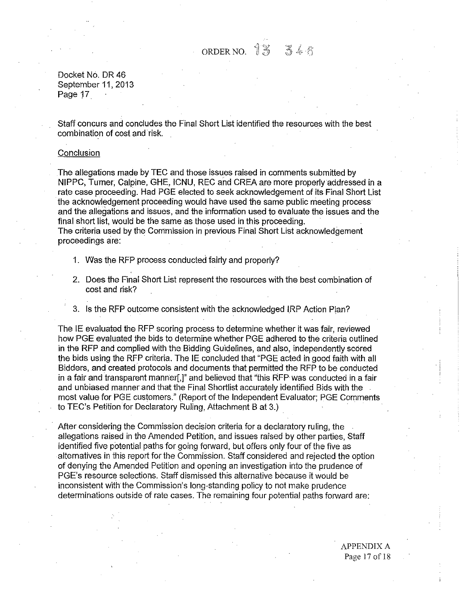ORDER NO. 13 346

Docket No. DR 46 September 11, 2013 Page 17

Staff concurs and concludes the Final Short List identified the resources with the best combination of cost and risk.

## **Conclusion**

The allegations made by TEC and those issues raised in comments submitted by **NIP** PC, Turner, Calpine, GHE, ICNU, REG and CREA are more properly addressed in a rate case proceeding. Had PGE elected to seek acknowledgement of its Final Short List the acknowledgement proceeding would have used the same public meeting process and the allegations and issues, and the information used to evaluate the issues and the final short list, would be the same as those used in this proceeding. The criteria used by the Commission in previous Final Short List acknowledgement proceedings are:

- 1. Was the RFP process conducted fairly and properly?
- 2. Does the Final Short List represent the resources with the best combination of cost and risk?
- 3. Is the RFP outcome consistent with the acknowledged IRP Action Plan?

The IE evaluated the RFP scoring process to determine whether it was fair, reviewed howPGE evaluated the bids to determine whether PGE adhered to the criteria outlined in the RFP and complied with the Bidding Guidelines, and also, independently scored the bids using the RFP criteria. The IE concluded that "PGE acted in good faith with all Bidders, and created protocols and documents that permitted the RFP to be conducted in a fair and transparent manner[,]" and believed that "this RFP was conducted in a fair and unbiased manner and that the Final Shortlist accurately identified Bids with the most value for PGE customers." (Report of the Independent Evaluator; PGE Comments to TEC's Petition for Declaratory Ruling, Attachment B at 3.)

After considering the Commission decision criteria for a declaratory ruling, the allegations raised in the Amended Petition, and issues raised by other parties, Staff identified five potential paths for going forward, but offers only four of the five as alternatives in this report for the Commission. Staff considered and rejected the option of denying the Amended Petition and opening an investigation into the prudence of PGE's resource selections. Staff dismissed this alternative because it would be inconsistent with the Commission's long-standing policy to not make prudence determinations outside of rate cases. The remaining four potential paths forward are: